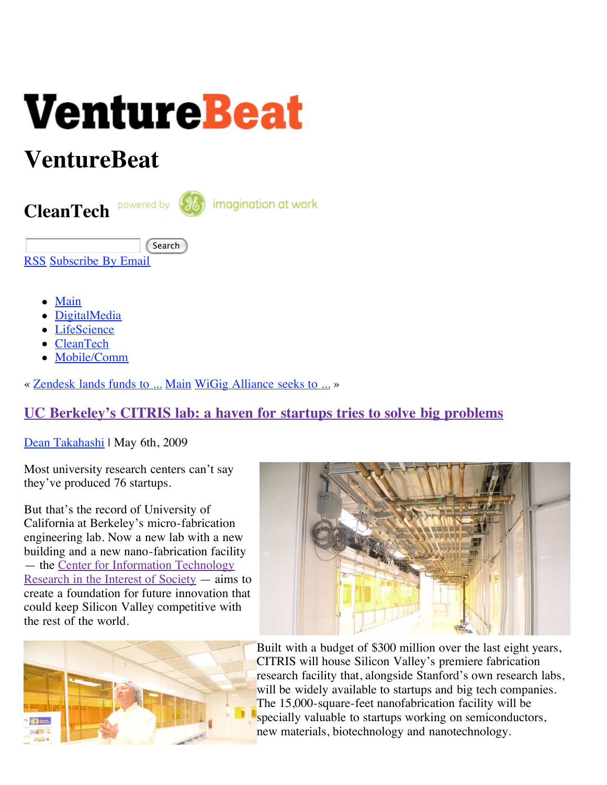

# **VentureBeat**

**CleanTech**

imagination at work

**Search** 

[RSS](http://feeds.feedburner.com/venturebeat) [Subscribe By Email](http://www.feedburner.com/fb/a/emailverifySubmit?feedId=667465&loc=en_US)

- [Main](http://venturebeat.com/)
- **[DigitalMedia](http://venturebeat.com/category/digitalmedia)**
- [LifeScience](http://venturebeat.com/category/lifesciences)
- [CleanTech](http://venturebeat.com/category/cleantech)
- [Mobile/Comm](http://venturebeat.com/category/mobile-comm)

« [Zendesk lands funds to ...](http://venturebeat.com/2009/05/06/zendesk-lands-funds-to-provide-help-desk-nirvana/) [Main](http://venturebeat.com/) [WiGig Alliance seeks to ...](http://venturebeat.com/2009/05/06/wigig-alliance-seeks-to-introduce-60-gigahertz-wireless-video-transfer-to-homes/) »

## **[UC Berkeley's CITRIS lab: a haven for startups tries to solve big problems](http://venturebeat.com/2009/05/06/uc-berkeleys-citris-lab-seeks-to-use-technology-to-solve-societys-biggest-problems/)**

[Dean Takahashi](http://venturebeat.com/author/dean-takahashi/) | May 6th, 2009

Most university research centers can't say they've produced 76 startups.

But that's the record of University of California at Berkeley's micro-fabrication engineering lab. Now a new lab with a new building and a new nano-fabrication facility — the Center for Information Technology [Research in the Interest of Society — aims](http://www.citris-uc.org/) to create a foundation for future innovation that could keep Silicon Valley competitive with the rest of the world.





Built with a budget of \$300 million over the last eight years, CITRIS will house Silicon Valley's premiere fabrication research facility that, alongside Stanford's own research labs, will be widely available to startups and big tech companies. The 15,000-square-feet nanofabrication facility will be specially valuable to startups working on semiconductors, new materials, biotechnology and nanotechnology.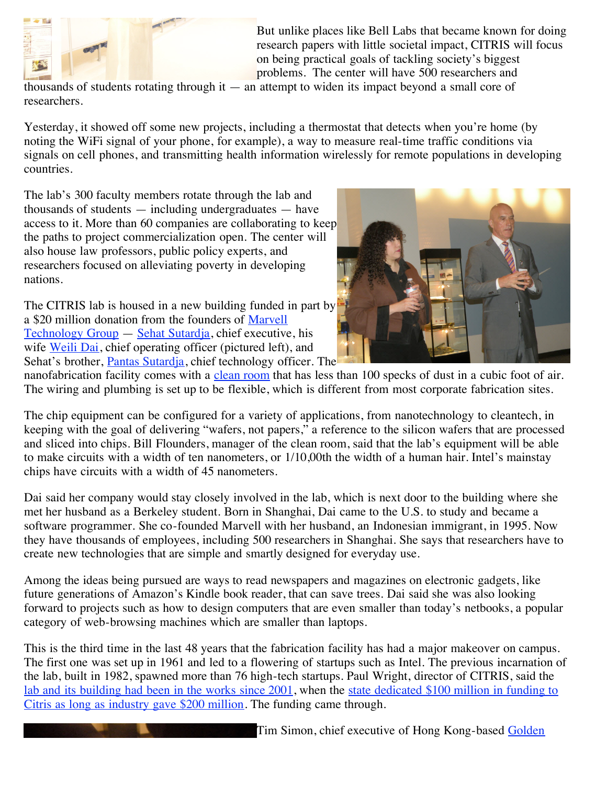

But unlike places like Bell Labs that became known for doing research papers with little societal impact, CITRIS will focus on being practical goals of tackling society's biggest problems. The center will have 500 researchers and

thousands of students rotating through it — an attempt to widen its impact beyond a small core of researchers.

Yesterday, it showed off some new projects, including a thermostat that detects when you're home (by noting the WiFi signal of your phone, for example), a way to measure real-time traffic conditions via signals on cell phones, and transmitting health information wirelessly for remote populations in developing countries.

The lab's 300 faculty members rotate through the lab and thousands of students — including undergraduates — have access to it. More than 60 companies are collaborating to keep the paths to project commercialization open. The center will also house law professors, public policy experts, and researchers focused on alleviating poverty in developing nations.

The CITRIS lab is housed in a new building funded in part by [a \\$20 million donation from the founders of Marvell](http://www.marvell.com/index.jsp) Technology Group — [Sehat Sutardja](http://www.marvell.com/company/leadership/Sehat_Sutardja.jsp), chief executive, his wife [Weili Dai](http://www.marvell.com/company/leadership/Weili_Dai.jsp), chief operating officer (pictured left), and Sehat's brother, [Pantas Sutardja](http://www.marvell.com/company/leadership/Pantas_Sutardja.jsp), chief technology officer. The



nanofabrication facility comes with a [clean room](http://en.wikipedia.org/wiki/Cleanroom) that has less than 100 specks of dust in a cubic foot of air. The wiring and plumbing is set up to be flexible, which is different from most corporate fabrication sites.

The chip equipment can be configured for a variety of applications, from nanotechnology to cleantech, in keeping with the goal of delivering "wafers, not papers," a reference to the silicon wafers that are processed and sliced into chips. Bill Flounders, manager of the clean room, said that the lab's equipment will be able to make circuits with a width of ten nanometers, or 1/10,00th the width of a human hair. Intel's mainstay chips have circuits with a width of 45 nanometers.

Dai said her company would stay closely involved in the lab, which is next door to the building where she met her husband as a Berkeley student. Born in Shanghai, Dai came to the U.S. to study and became a software programmer. She co-founded Marvell with her husband, an Indonesian immigrant, in 1995. Now they have thousands of employees, including 500 researchers in Shanghai. She says that researchers have to create new technologies that are simple and smartly designed for everyday use.

Among the ideas being pursued are ways to read newspapers and magazines on electronic gadgets, like future generations of Amazon's Kindle book reader, that can save trees. Dai said she was also looking forward to projects such as how to design computers that are even smaller than today's netbooks, a popular category of web-browsing machines which are smaller than laptops.

This is the third time in the last 48 years that the fabrication facility has had a major makeover on campus. The first one was set up in 1961 and led to a flowering of startups such as Intel. The previous incarnation of the lab, built in 1982, spawned more than 76 high-tech startups. Paul Wright, director of CITRIS, said the [lab and its building had been in the works since 2001](http://www.citris-uc.org/about/history)[, when the state dedicated \\$100 million in funding to](http://www.citris-uc.org/about/funding) Citris as long as industry gave \$200 million. The funding came through.

[Tim Simon, chief executive of Hong Kong-based Golden](http://gpower.manufacturer.globalsources.com/si/6008821106294/Homepage.htm)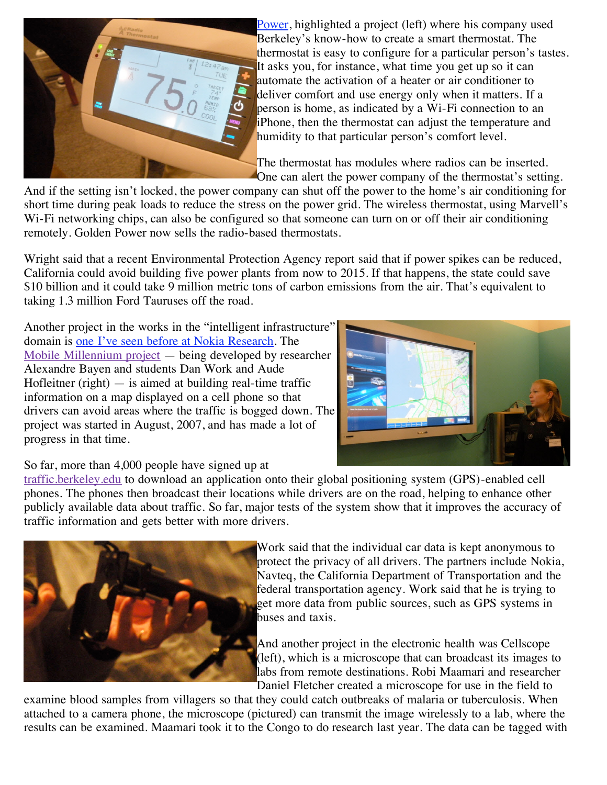

[Power, highlighted a project \(left\) where his company use](http://gpower.manufacturer.globalsources.com/si/6008821106294/Homepage.htm)d Berkeley's know-how to create a smart thermostat. The thermostat is easy to configure for a particular person's tastes. It asks you, for instance, what time you get up so it can automate the activation of a heater or air conditioner to deliver comfort and use energy only when it matters. If a person is home, as indicated by a Wi-Fi connection to an iPhone, then the thermostat can adjust the temperature and humidity to that particular person's comfort level.

The thermostat has modules where radios can be inserted. One can alert the power company of the thermostat's setting.

And if the setting isn't locked, the power company can shut off the power to the home's air conditioning for short time during peak loads to reduce the stress on the power grid. The wireless thermostat, using Marvell's Wi-Fi networking chips, can also be configured so that someone can turn on or off their air conditioning remotely. Golden Power now sells the radio-based thermostats.

Wright said that a recent Environmental Protection Agency report said that if power spikes can be reduced, California could avoid building five power plants from now to 2015. If that happens, the state could save \$10 billion and it could take 9 million metric tons of carbon emissions from the air. That's equivalent to taking 1.3 million Ford Tauruses off the road.

Another project in the works in the "intelligent infrastructure" domain is [one I've seen before at Nokia Research](http://venturebeat.com/2008/11/20/nokia-researchers-show-off-the-mobile-experiences-of-the-future/). The [Mobile Millennium project](http://traffic.berkeley.edu/) — being developed by researcher Alexandre Bayen and students Dan Work and Aude Hofleitner (right)  $-$  is aimed at building real-time traffic information on a map displayed on a cell phone so that drivers can avoid areas where the traffic is bogged down. The project was started in August, 2007, and has made a lot of progress in that time.



#### So far, more than 4,000 people have signed up at

[traffic.berkeley.edu](http://traffic.berkeley.edu/) to download an application onto their global positioning system (GPS)-enabled cell phones. The phones then broadcast their locations while drivers are on the road, helping to enhance other publicly available data about traffic. So far, major tests of the system show that it improves the accuracy of traffic information and gets better with more drivers.



Work said that the individual car data is kept anonymous to protect the privacy of all drivers. The partners include Nokia, Navteq, the California Department of Transportation and the federal transportation agency. Work said that he is trying to get more data from public sources, such as GPS systems in buses and taxis.

And another project in the electronic health was Cellscope (left), which is a microscope that can broadcast its images to labs from remote destinations. Robi Maamari and researcher Daniel Fletcher created a microscope for use in the field to

examine blood samples from villagers so that they could catch outbreaks of malaria or tuberculosis. When attached to a camera phone, the microscope (pictured) can transmit the image wirelessly to a lab, where the results can be examined. Maamari took it to the Congo to do research last year. The data can be tagged with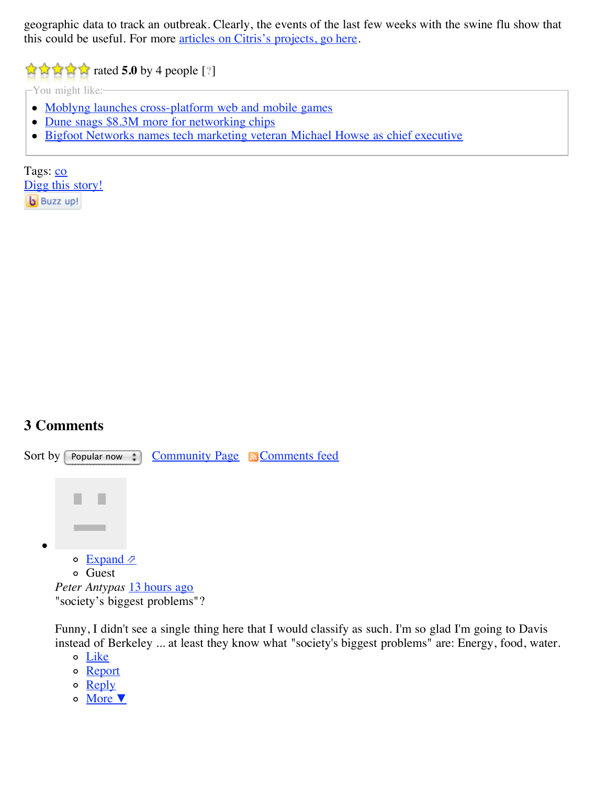geographic data to track an outbreak. Clearly, the events of the last few weeks with the swine flu show that this could be useful. For more [articles on Citris's projects, go here.](http://www.citris-uc.org/publications/articles)

**r**  $\frac{1}{2}$  **f 1** ated **5.0** by 4 people [?]

-You might like:-

- [Moblyng launches cross-platform web and mobile games](http://traffic.outbrain.com/network/redir?key=ad37014ff7288e911588b6731c80bcf4&rdid=27781015&type=MP&in-site=true&req_id=e24cebf9e11dfafe38b9cbc07eb0b1fd&fp=false&am=get&agent=blog_JS_rec&version=4.2.0&idx=0)
- [Dune snags \\$8.3M more for networking chips](http://traffic.outbrain.com/network/redir?key=5483ab95e36c8ec9604401e7b065ec36&rdid=27781015&type=MLT&in-site=true&req_id=e24cebf9e11dfafe38b9cbc07eb0b1fd&fp=false&am=get&agent=blog_JS_rec&version=4.2.0&idx=1)
- [Bigfoot Networks names tech marketing veteran Michael Howse as chief executive](http://traffic.outbrain.com/network/redir?key=364787348c5cedd1d5d2603c69280ee6&rdid=27781015&type=MLT&in-site=true&req_id=e24cebf9e11dfafe38b9cbc07eb0b1fd&fp=false&am=get&agent=blog_JS_rec&version=4.2.0&idx=2)

Tags: [co](http://venturebeat.com/tag/co/) [Digg this story!](http://digg.com/submit?url=http://venturebeat.com/2009/05/06/uc-berkeleys-citris-lab-seeks-to-use-technology-to-solve-societys-biggest-problems/&title=UC%20Berkeley%E2%80%99s%20CITRIS%20lab:%20a%20haven%20for%20startups%20tries%20to%20solve%20big%20problems) **b** Buzz up!

## **3 Comments**



Funny, I didn't see a single thing here that I would classify as such. I'm so glad I'm going to Davis instead of Berkeley ... at least they know what "society's biggest problems" are: Energy, food, water.

- [Like](http://venturebeat.com/2009/05/06/uc-berkeleys-citris-lab-seeks-to-use-technology-to-solve-societys-biggest-problems/#)
- o [Report](http://venturebeat.com/2009/05/06/uc-berkeleys-citris-lab-seeks-to-use-technology-to-solve-societys-biggest-problems/#)
- $\circ$  [Reply](http://venturebeat.com/2009/05/06/uc-berkeleys-citris-lab-seeks-to-use-technology-to-solve-societys-biggest-problems/#)
- [More](http://venturebeat.com/2009/05/06/uc-berkeleys-citris-lab-seeks-to-use-technology-to-solve-societys-biggest-problems/#) ▼